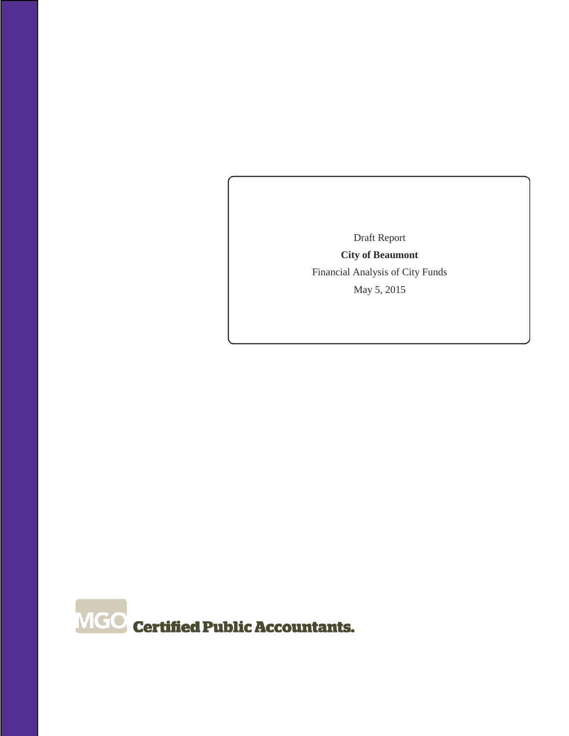Draft Report **City of Beaumont**  Financial Analysis of City Funds May 5, 2015

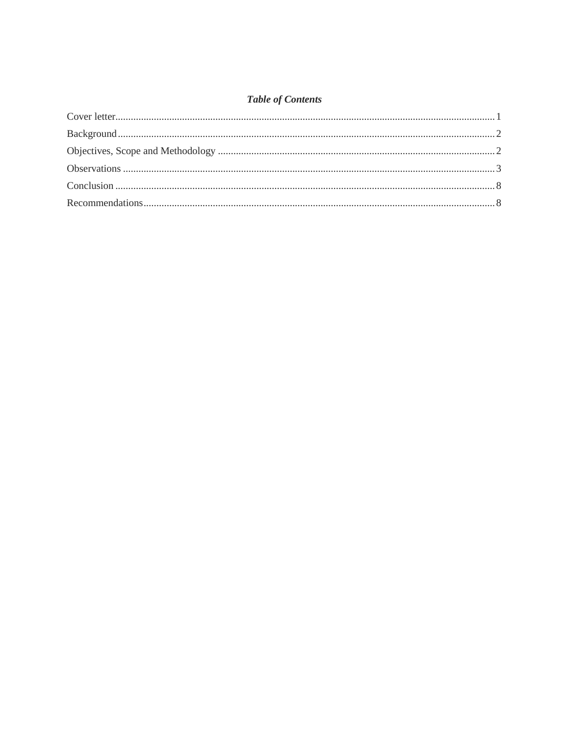# **Table of Contents**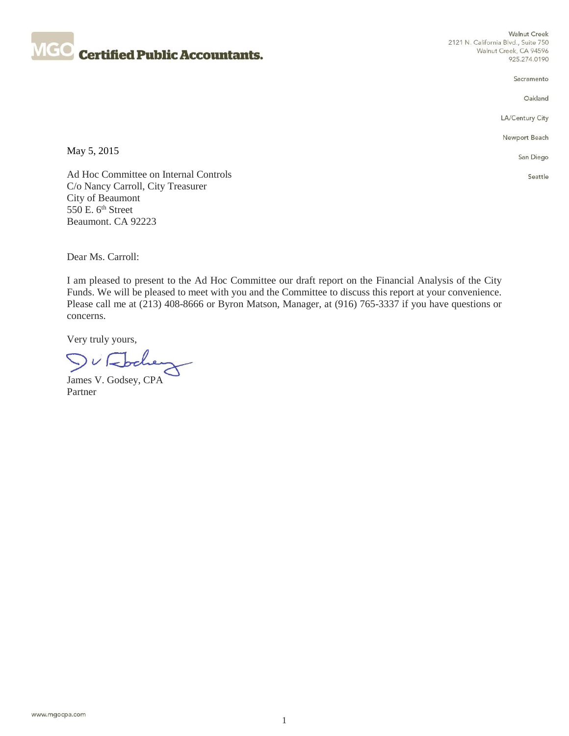

**Walnut Creek** 2121 N. California Blvd., Suite 750 Walnut Creek, CA 94596 925.274.0190

Sacramento

Oakland

LA/Century City

Newport Beach

May 5, 2015

San Diego Seattle

Ad Hoc Committee on Internal Controls C/o Nancy Carroll, City Treasurer City of Beaumont 550 E. 6<sup>th</sup> Street Beaumont. CA 92223

Dear Ms. Carroll:

I am pleased to present to the Ad Hoc Committee our draft report on the Financial Analysis of the City Funds. We will be pleased to meet with you and the Committee to discuss this report at your convenience. Please call me at (213) 408-8666 or Byron Matson, Manager, at (916) 765-3337 if you have questions or concerns.

Very truly yours,

V Fochen

James V. Godsey, CPA Partner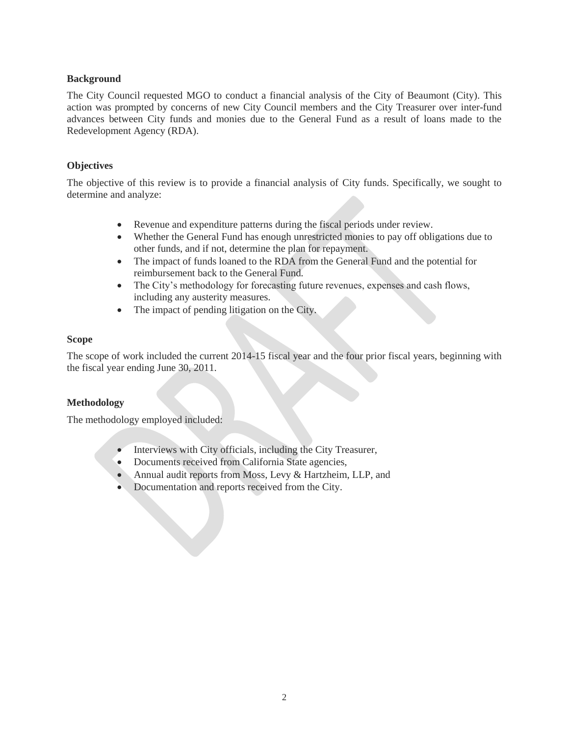# **Background**

The City Council requested MGO to conduct a financial analysis of the City of Beaumont (City). This action was prompted by concerns of new City Council members and the City Treasurer over inter-fund advances between City funds and monies due to the General Fund as a result of loans made to the Redevelopment Agency (RDA).

# **Objectives**

The objective of this review is to provide a financial analysis of City funds. Specifically, we sought to determine and analyze:

- Revenue and expenditure patterns during the fiscal periods under review.
- Whether the General Fund has enough unrestricted monies to pay off obligations due to other funds, and if not, determine the plan for repayment.
- The impact of funds loaned to the RDA from the General Fund and the potential for reimbursement back to the General Fund.
- The City's methodology for forecasting future revenues, expenses and cash flows, including any austerity measures.
- The impact of pending litigation on the City.

# **Scope**

The scope of work included the current 2014-15 fiscal year and the four prior fiscal years, beginning with the fiscal year ending June 30, 2011.

# **Methodology**

The methodology employed included:

- Interviews with City officials, including the City Treasurer,
- Documents received from California State agencies,
- Annual audit reports from Moss, Levy & Hartzheim, LLP, and
- Documentation and reports received from the City.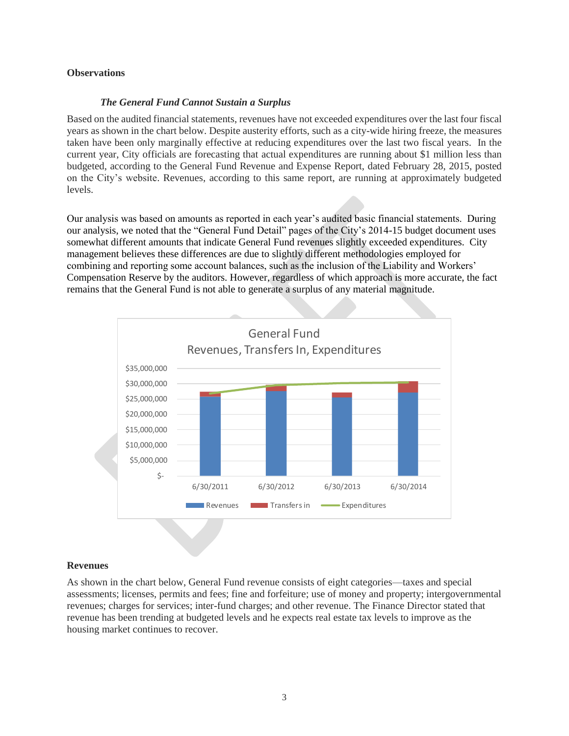#### **Observations**

#### *The General Fund Cannot Sustain a Surplus*

Based on the audited financial statements, revenues have not exceeded expenditures over the last four fiscal years as shown in the chart below. Despite austerity efforts, such as a city-wide hiring freeze, the measures taken have been only marginally effective at reducing expenditures over the last two fiscal years. In the current year, City officials are forecasting that actual expenditures are running about \$1 million less than budgeted, according to the General Fund Revenue and Expense Report, dated February 28, 2015, posted on the City's website. Revenues, according to this same report, are running at approximately budgeted levels.

Our analysis was based on amounts as reported in each year's audited basic financial statements. During our analysis, we noted that the "General Fund Detail" pages of the City's 2014-15 budget document uses somewhat different amounts that indicate General Fund revenues slightly exceeded expenditures. City management believes these differences are due to slightly different methodologies employed for combining and reporting some account balances, such as the inclusion of the Liability and Workers' Compensation Reserve by the auditors. However, regardless of which approach is more accurate, the fact remains that the General Fund is not able to generate a surplus of any material magnitude.



#### **Revenues**

As shown in the chart below, General Fund revenue consists of eight categories—taxes and special assessments; licenses, permits and fees; fine and forfeiture; use of money and property; intergovernmental revenues; charges for services; inter-fund charges; and other revenue. The Finance Director stated that revenue has been trending at budgeted levels and he expects real estate tax levels to improve as the housing market continues to recover.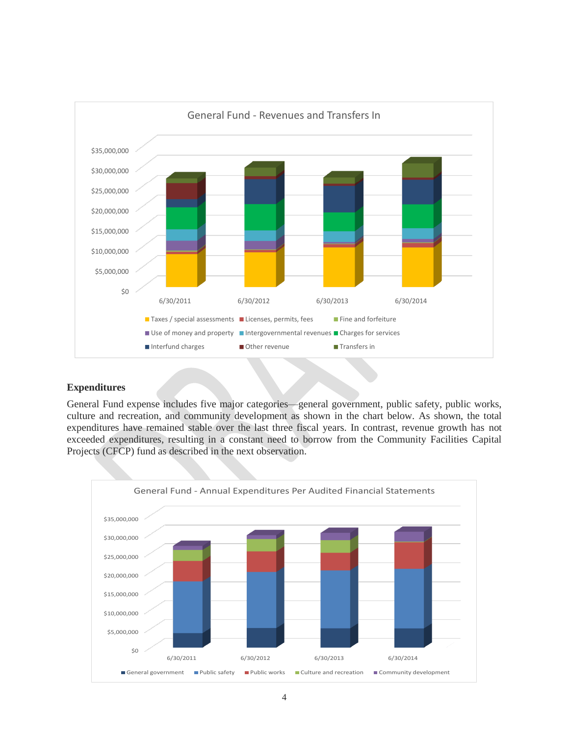

### **Expenditures**

General Fund expense includes five major categories—general government, public safety, public works, culture and recreation, and community development as shown in the chart below. As shown, the total expenditures have remained stable over the last three fiscal years. In contrast, revenue growth has not exceeded expenditures, resulting in a constant need to borrow from the Community Facilities Capital Projects (CFCP) fund as described in the next observation.

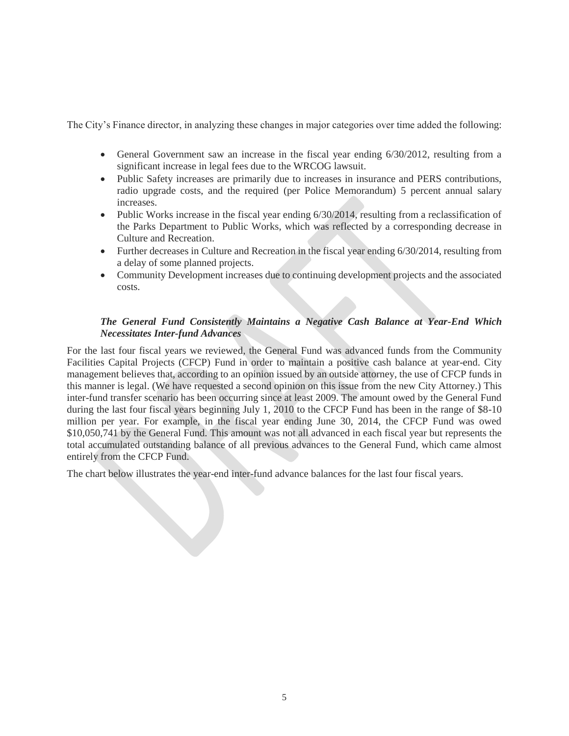The City's Finance director, in analyzing these changes in major categories over time added the following:

- General Government saw an increase in the fiscal year ending 6/30/2012, resulting from a significant increase in legal fees due to the WRCOG lawsuit.
- Public Safety increases are primarily due to increases in insurance and PERS contributions, radio upgrade costs, and the required (per Police Memorandum) 5 percent annual salary increases.
- Public Works increase in the fiscal year ending 6/30/2014, resulting from a reclassification of the Parks Department to Public Works, which was reflected by a corresponding decrease in Culture and Recreation.
- Further decreases in Culture and Recreation in the fiscal year ending 6/30/2014, resulting from a delay of some planned projects.
- Community Development increases due to continuing development projects and the associated costs.

# *The General Fund Consistently Maintains a Negative Cash Balance at Year-End Which Necessitates Inter-fund Advances*

For the last four fiscal years we reviewed, the General Fund was advanced funds from the Community Facilities Capital Projects (CFCP) Fund in order to maintain a positive cash balance at year-end. City management believes that, according to an opinion issued by an outside attorney, the use of CFCP funds in this manner is legal. (We have requested a second opinion on this issue from the new City Attorney.) This inter-fund transfer scenario has been occurring since at least 2009. The amount owed by the General Fund during the last four fiscal years beginning July 1, 2010 to the CFCP Fund has been in the range of \$8-10 million per year. For example, in the fiscal year ending June 30, 2014, the CFCP Fund was owed \$10,050,741 by the General Fund. This amount was not all advanced in each fiscal year but represents the total accumulated outstanding balance of all previous advances to the General Fund, which came almost entirely from the CFCP Fund.

The chart below illustrates the year-end inter-fund advance balances for the last four fiscal years.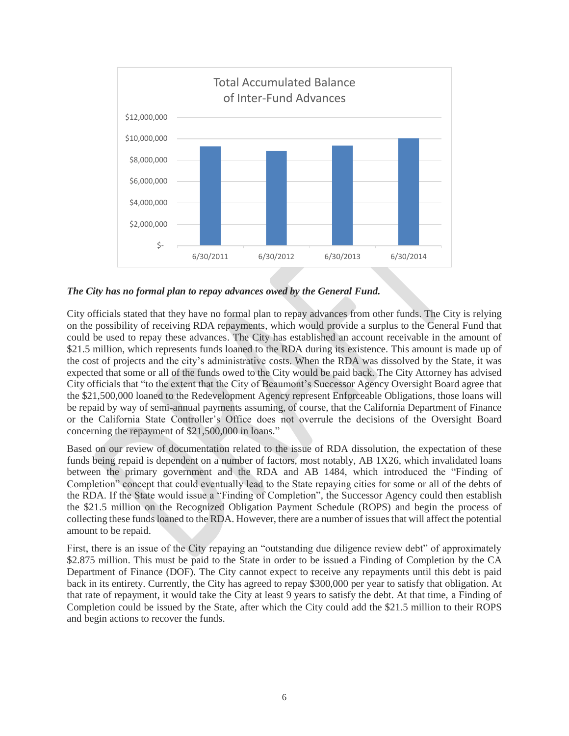

*The City has no formal plan to repay advances owed by the General Fund.*

City officials stated that they have no formal plan to repay advances from other funds. The City is relying on the possibility of receiving RDA repayments, which would provide a surplus to the General Fund that could be used to repay these advances. The City has established an account receivable in the amount of \$21.5 million, which represents funds loaned to the RDA during its existence. This amount is made up of the cost of projects and the city's administrative costs. When the RDA was dissolved by the State, it was expected that some or all of the funds owed to the City would be paid back. The City Attorney has advised City officials that "to the extent that the City of Beaumont's Successor Agency Oversight Board agree that the \$21,500,000 loaned to the Redevelopment Agency represent Enforceable Obligations, those loans will be repaid by way of semi-annual payments assuming, of course, that the California Department of Finance or the California State Controller's Office does not overrule the decisions of the Oversight Board concerning the repayment of \$21,500,000 in loans."

Based on our review of documentation related to the issue of RDA dissolution, the expectation of these funds being repaid is dependent on a number of factors, most notably, AB 1X26, which invalidated loans between the primary government and the RDA and AB 1484, which introduced the "Finding of Completion" concept that could eventually lead to the State repaying cities for some or all of the debts of the RDA. If the State would issue a "Finding of Completion", the Successor Agency could then establish the \$21.5 million on the Recognized Obligation Payment Schedule (ROPS) and begin the process of collecting these funds loaned to the RDA. However, there are a number of issues that will affect the potential amount to be repaid.

First, there is an issue of the City repaying an "outstanding due diligence review debt" of approximately \$2.875 million. This must be paid to the State in order to be issued a Finding of Completion by the CA Department of Finance (DOF). The City cannot expect to receive any repayments until this debt is paid back in its entirety. Currently, the City has agreed to repay \$300,000 per year to satisfy that obligation. At that rate of repayment, it would take the City at least 9 years to satisfy the debt. At that time, a Finding of Completion could be issued by the State, after which the City could add the \$21.5 million to their ROPS and begin actions to recover the funds.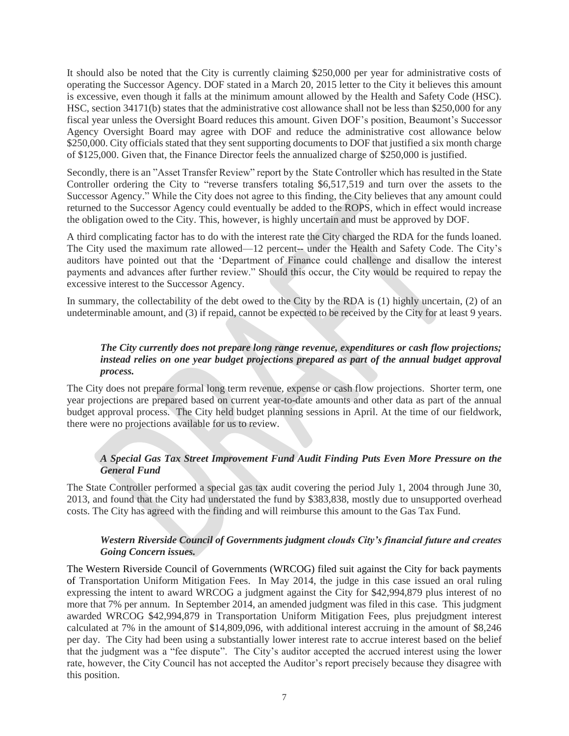It should also be noted that the City is currently claiming \$250,000 per year for administrative costs of operating the Successor Agency. DOF stated in a March 20, 2015 letter to the City it believes this amount is excessive, even though it falls at the minimum amount allowed by the Health and Safety Code (HSC). HSC, section 34171(b) states that the administrative cost allowance shall not be less than \$250,000 for any fiscal year unless the Oversight Board reduces this amount. Given DOF's position, Beaumont's Successor Agency Oversight Board may agree with DOF and reduce the administrative cost allowance below \$250,000. City officials stated that they sent supporting documents to DOF that justified a six month charge of \$125,000. Given that, the Finance Director feels the annualized charge of \$250,000 is justified.

Secondly, there is an "Asset Transfer Review" report by the State Controller which has resulted in the State Controller ordering the City to "reverse transfers totaling \$6,517,519 and turn over the assets to the Successor Agency." While the City does not agree to this finding, the City believes that any amount could returned to the Successor Agency could eventually be added to the ROPS, which in effect would increase the obligation owed to the City. This, however, is highly uncertain and must be approved by DOF.

A third complicating factor has to do with the interest rate the City charged the RDA for the funds loaned. The City used the maximum rate allowed—12 percent-- under the Health and Safety Code. The City's auditors have pointed out that the 'Department of Finance could challenge and disallow the interest payments and advances after further review." Should this occur, the City would be required to repay the excessive interest to the Successor Agency.

In summary, the collectability of the debt owed to the City by the RDA is (1) highly uncertain, (2) of an undeterminable amount, and (3) if repaid, cannot be expected to be received by the City for at least 9 years.

# *The City currently does not prepare long range revenue, expenditures or cash flow projections; instead relies on one year budget projections prepared as part of the annual budget approval process.*

The City does not prepare formal long term revenue, expense or cash flow projections. Shorter term, one year projections are prepared based on current year-to-date amounts and other data as part of the annual budget approval process. The City held budget planning sessions in April. At the time of our fieldwork, there were no projections available for us to review.

# *A Special Gas Tax Street Improvement Fund Audit Finding Puts Even More Pressure on the General Fund*

The State Controller performed a special gas tax audit covering the period July 1, 2004 through June 30, 2013, and found that the City had understated the fund by \$383,838, mostly due to unsupported overhead costs. The City has agreed with the finding and will reimburse this amount to the Gas Tax Fund.

### *Western Riverside Council of Governments judgment clouds City's financial future and creates Going Concern issues.*

The Western Riverside Council of Governments (WRCOG) filed suit against the City for back payments of Transportation Uniform Mitigation Fees. In May 2014, the judge in this case issued an oral ruling expressing the intent to award WRCOG a judgment against the City for \$42,994,879 plus interest of no more that 7% per annum. In September 2014, an amended judgment was filed in this case. This judgment awarded WRCOG \$42,994,879 in Transportation Uniform Mitigation Fees, plus prejudgment interest calculated at 7% in the amount of \$14,809,096, with additional interest accruing in the amount of \$8,246 per day. The City had been using a substantially lower interest rate to accrue interest based on the belief that the judgment was a "fee dispute". The City's auditor accepted the accrued interest using the lower rate, however, the City Council has not accepted the Auditor's report precisely because they disagree with this position.